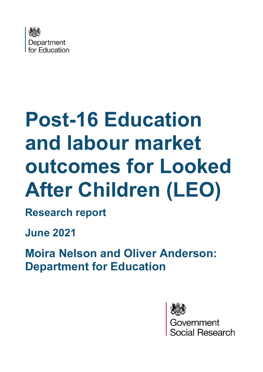

# **Post-16 Education and labour market outcomes for Looked After Children (LEO)**

**Research report**

**June 2021**

**Moira Nelson and Oliver Anderson: Department for Education**

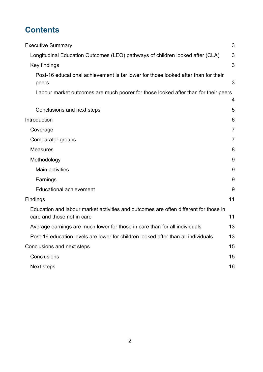## **Contents**

| <b>Executive Summary</b>                                                                                           | 3              |
|--------------------------------------------------------------------------------------------------------------------|----------------|
| Longitudinal Education Outcomes (LEO) pathways of children looked after (CLA)                                      | 3              |
| Key findings                                                                                                       | 3              |
| Post-16 educational achievement is far lower for those looked after than for their<br>peers                        | 3              |
| Labour market outcomes are much poorer for those looked after than for their peers                                 | 4              |
| Conclusions and next steps                                                                                         | 5              |
| Introduction                                                                                                       | 6              |
| Coverage                                                                                                           | $\overline{7}$ |
| Comparator groups                                                                                                  | $\overline{7}$ |
| <b>Measures</b>                                                                                                    | 8              |
| Methodology                                                                                                        | 9              |
| Main activities                                                                                                    | 9              |
| Earnings                                                                                                           | 9              |
| <b>Educational achievement</b>                                                                                     | 9              |
| Findings                                                                                                           | 11             |
| Education and labour market activities and outcomes are often different for those in<br>care and those not in care | 11             |
| Average earnings are much lower for those in care than for all individuals                                         | 13             |
| Post-16 education levels are lower for children looked after than all individuals                                  | 13             |
| Conclusions and next steps                                                                                         | 15             |
| Conclusions                                                                                                        | 15             |
| Next steps                                                                                                         | 16             |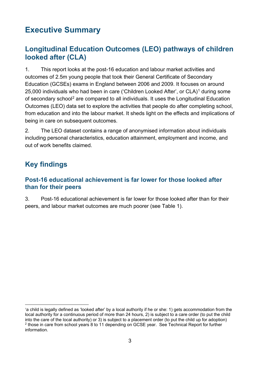## <span id="page-2-0"></span>**Executive Summary**

#### <span id="page-2-1"></span>**Longitudinal Education Outcomes (LEO) pathways of children looked after (CLA)**

1. This report looks at the post-16 education and labour market activities and outcomes of 2.5m young people that took their General Certificate of Secondary Education (GCSEs) exams in England between 2006 and 2009. It focuses on around 25,000 individuals who had been in care ('Children Looked After', or CLA)<sup>[1](#page-2-4)</sup> during some of secondary school[2](#page-2-5) are compared to all individuals. It uses the Longitudinal Education Outcomes (LEO) data set to explore the activities that people do after completing school, from education and into the labour market. It sheds light on the effects and implications of being in care on subsequent outcomes.

2. The LEO dataset contains a range of anonymised information about individuals including personal characteristics, education attainment, employment and income, and out of work benefits claimed.

## <span id="page-2-2"></span>**Key findings**

#### <span id="page-2-3"></span>**Post-16 educational achievement is far lower for those looked after than for their peers**

3. Post-16 educational achievement is far lower for those looked after than for their peers, and labour market outcomes are much poorer (see Table 1).

<span id="page-2-5"></span><span id="page-2-4"></span><sup>1</sup> a child is legally defined as 'looked after' by a local authority if he or she: 1) gets accommodation from the local authority for a continuous period of more than 24 hours, 2) is subject to a care order (to put the child into the care of the local authority) or 3) is subject to a placement order (to put the child up for adoption)  $2$  those in care from school years 8 to 11 depending on GCSE year. See Technical Report for further information.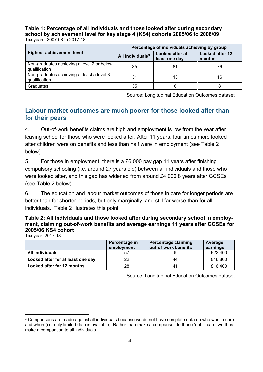**Table 1: Percentage of all individuals and those looked after during secondary school by achievement level for key stage 4 (KS4) cohorts 2005/06 to 2008/09** Tax years: 2007-08 to 2017-18

|                                                             | Percentage of individuals achieving by group |                                  |                                  |
|-------------------------------------------------------------|----------------------------------------------|----------------------------------|----------------------------------|
| <b>Highest achievement level</b>                            | All individuals <sup>3</sup>                 | Looked after at<br>least one day | <b>Looked after 12</b><br>months |
| Non-graduates achieving a level 2 or below<br>qualification | 35                                           | 81                               | 76                               |
| Non-graduates achieving at least a level 3<br>qualification | 31                                           | 13                               | 16                               |
| Graduates                                                   | 35                                           | 6                                |                                  |

Source: Longitudinal Education Outcomes dataset

#### <span id="page-3-0"></span>**Labour market outcomes are much poorer for those looked after than for their peers**

4. Out-of-work benefits claims are high and employment is low from the year after leaving school for those who were looked after. After 11 years, four times more looked after children were on benefits and less than half were in employment (see Table 2 below).

5. For those in employment, there is a £6,000 pay gap 11 years after finishing compulsory schooling (i.e. around 27 years old) between all individuals and those who were looked after, and this gap has widened from around £4,000 8 years after GCSEs (see Table 2 below).

6. The education and labour market outcomes of those in care for longer periods are better than for shorter periods, but only marginally, and still far worse than for all individuals. Table 2 illustrates this point.

| Table 2: All individuals and those looked after during secondary school in employ- |
|------------------------------------------------------------------------------------|
| ment, claiming out-of-work benefits and average earnings 11 years after GCSEs for  |
| 2005/06 KS4 cohort                                                                 |
|                                                                                    |

Tax year: 2017-18

|                                   | Percentage in<br>employment | Percentage claiming<br>out-of-work benefits | Average<br>earnings |
|-----------------------------------|-----------------------------|---------------------------------------------|---------------------|
| All individuals                   | 57                          |                                             | £22,400             |
| Looked after for at least one day | 22                          | 44                                          | £16,800             |
| Looked after for 12 months        | 28                          | 41                                          | £16,400             |

Source: Longitudinal Education Outcomes dataset

<span id="page-3-1"></span> $3$  Comparisons are made against all individuals because we do not have complete data on who was in care and when (i.e. only limited data is available). Rather than make a comparison to those 'not in care' we thus make a comparison to all individuals.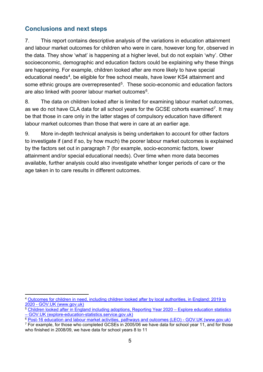#### <span id="page-4-0"></span>**Conclusions and next steps**

7. This report contains descriptive analysis of the variations in education attainment and labour market outcomes for children who were in care, however long for, observed in the data. They show 'what' is happening at a higher level, but do not explain 'why'. Other socioeconomic, demographic and education factors could be explaining why these things are happening. For example, children looked after are more likely to have special educational needs<sup>[4](#page-4-1)</sup>, be eligible for free school meals, have lower KS4 attainment and some ethnic groups are overrepresented<sup>5</sup>. These socio-economic and education factors are also linked with poorer labour market outcomes<sup>6</sup>.

8. The data on children looked after is limited for examining labour market outcomes, as we do not have CLA data for all school years for the GCSE cohorts examined<sup>[7](#page-4-4)</sup>. It may be that those in care only in the latter stages of compulsory education have different labour market outcomes than those that were in care at an earlier age.

9. More in-depth technical analysis is being undertaken to account for other factors to investigate if (and if so, by how much) the poorer labour market outcomes is explained by the factors set out in paragraph 7 (for example, socio-economic factors, lower attainment and/or special educational needs). Over time when more data becomes available, further analysis could also investigate whether longer periods of care or the age taken in to care results in different outcomes.

<span id="page-4-1"></span><sup>4</sup> [Outcomes for children in need, including children looked after by local authorities, in England:](https://www.gov.uk/government/statistics/outcomes-for-children-in-need-including-children-looked-after-by-local-authorities-in-england-2019-to-2020) 2019 to [2020 - GOV.UK \(www.gov.uk\)](https://www.gov.uk/government/statistics/outcomes-for-children-in-need-including-children-looked-after-by-local-authorities-in-england-2019-to-2020)

<span id="page-4-2"></span><sup>&</sup>lt;sup>5</sup> Children looked after in England including adoptions, Reporting Year 2020 – Explore education statistics [– GOV.UK \(explore-education-statistics.service.gov.uk\)](https://explore-education-statistics.service.gov.uk/find-statistics/children-looked-after-in-england-including-adoptions/2020#dataBlock-da196229-008f-4552-ba4b-a9f36430b72a-charts)<br>
<sup>6</sup> Post-16 education and labour market activities, pathways and outcomes (LEO) - GOV.UK (www.gov.uk)

<span id="page-4-3"></span>

<span id="page-4-4"></span> $\frac{1}{6}$  Por example, for those who completed GCSEs in 2005/06 we have data for school year 11, and for those who finished in 2008/09, we have data for school years 8 to 11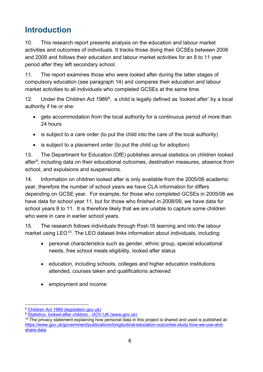## <span id="page-5-0"></span>**Introduction**

10. This research report presents analysis on the education and labour market activities and outcomes of individuals. It tracks those doing their GCSEs between 2006 and 2009 and follows their education and labour market activities for an 8 to 11 year period after they left secondary school.

11. The report examines those who were looked after during the latter stages of compulsory education (see paragraph 14) and compares their education and labour market activities to all individuals who completed GCSEs at the same time.

12. Under the Children Act 19[8](#page-5-1)9 $<sup>8</sup>$ , a child is legally defined as 'looked after' by a local</sup> authority if he or she:

- gets accommodation from the local authority for a continuous period of more than 24 hours
- is subject to a care order (to put the child into the care of the local authority)
- is subject to a placement order (to put the child up for adoption)

13. The Department for Education (DfE) publishes annual statistics on children looked after<sup>9</sup>, including data on their educational outcomes, destination measures, absence from school, and expulsions and suspensions.

14. Information on children looked after is only available from the 2005/06 academic year, therefore the number of school years we have CLA information for differs depending on GCSE year. For example, for those who completed GCSEs in 2005/06 we have data for school year 11, but for those who finished in 2008/09, we have data for school years 8 to 11. It is therefore likely that we are unable to capture some children who were in care in earlier school years.

15. The research follows individuals through Post-16 learning and into the labour market using LEO<sup>[10](#page-5-3)</sup>. The LEO dataset links information about individuals, including:

- personal characteristics such as gender, ethnic group, special educational needs, free school meals eligibility, looked after status
- education, including schools, colleges and higher education institutions attended, courses taken and qualifications achieved
- employment and income

<span id="page-5-1"></span><sup>8</sup> [Children Act 1989 \(legislation.gov.uk\)](https://www.legislation.gov.uk/ukpga/1989/41/contents)

<span id="page-5-2"></span><sup>9</sup> [Statistics: looked-after children - GOV.UK \(www.gov.uk\)](https://www.gov.uk/government/collections/statistics-looked-after-children)

<span id="page-5-3"></span> $10$  The privacy statement explaining how personal data in this project is shared and used is published at: [https://www.gov.uk/government/publications/longitudinal-education-outcomes-study-how-we-use-and](https://www.gov.uk/government/publications/longitudinal-education-outcomes-study-how-we-use-and-share-data)[share-data](https://www.gov.uk/government/publications/longitudinal-education-outcomes-study-how-we-use-and-share-data)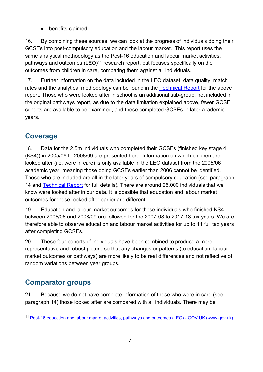• benefits claimed

16. By combining these sources, we can look at the progress of individuals doing their GCSEs into post-compulsory education and the labour market. This report uses the same analytical methodology as the Post-16 education and labour market activities, pathways and outcomes  $(LEO)^{11}$  $(LEO)^{11}$  $(LEO)^{11}$  research report, but focuses specifically on the outcomes from children in care, comparing them against all individuals.

17. Further information on the data included in the LEO dataset, data quality, match rates and the analytical methodology can be found in the [Technical Report](https://assets.publishing.service.gov.uk/government/uploads/system/uploads/attachment_data/file/990023/Technical_Report_for_Education_and_Labour_Market_Pathways_of_Individuals__LEO.pdf) for the above report. Those who were looked after in school is an additional sub-group, not included in the original pathways report, as due to the data limitation explained above, fewer GCSE cohorts are available to be examined, and these completed GCSEs in later academic years.

#### <span id="page-6-0"></span>**Coverage**

18. Data for the 2.5m individuals who completed their GCSEs (finished key stage 4 (KS4)) in 2005/06 to 2008/09 are presented here. Information on which children are looked after (i.e. were in care) is only available in the LEO dataset from the 2005/06 academic year, meaning those doing GCSEs earlier than 2006 cannot be identified. Those who are included are all in the later years of compulsory education (see paragraph 14 and [Technical Report](https://assets.publishing.service.gov.uk/government/uploads/system/uploads/attachment_data/file/990023/Technical_Report_for_Education_and_Labour_Market_Pathways_of_Individuals__LEO.pdf) for full details). There are around 25,000 individuals that we know were looked after in our data. It is possible that education and labour market outcomes for those looked after earlier are different.

19. Education and labour market outcomes for those individuals who finished KS4 between 2005/06 and 2008/09 are followed for the 2007-08 to 2017-18 tax years. We are therefore able to observe education and labour market activities for up to 11 full tax years after completing GCSEs.

20. These four cohorts of individuals have been combined to produce a more representative and robust picture so that any changes or patterns (to education, labour market outcomes or pathways) are more likely to be real differences and not reflective of random variations between year groups.

### <span id="page-6-1"></span>**Comparator groups**

21. Because we do not have complete information of those who were in care (see paragraph 14) those looked after are compared with all individuals. There may be

<span id="page-6-2"></span><sup>11</sup> [Post-16 education and labour market activities, pathways and outcomes \(LEO\) - GOV.UK \(www.gov.uk\)](https://www.gov.uk/government/publications/post-16-education-and-labour-market-activities-pathways-and-outcomes-leo)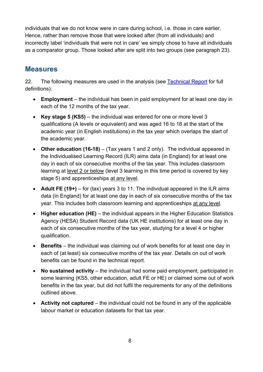individuals that we do not know were in care during school, i.e. those in care earlier. Hence, rather than remove those that were looked after (from all individuals) and incorrectly label 'individuals that were not in care' we simply chose to have all individuals as a comparator group. Those looked after are split into two groups (see paragraph 23).

#### <span id="page-7-0"></span>**Measures**

22. The following measures are used in the analysis (see [Technical Report](https://assets.publishing.service.gov.uk/government/uploads/system/uploads/attachment_data/file/990023/Technical_Report_for_Education_and_Labour_Market_Pathways_of_Individuals__LEO.pdf) for full definitions):

- **Employment** the individual has been in paid employment for at least one day in each of the 12 months of the tax year.
- **Key stage 5 (KS5)** the individual was entered for one or more level 3 qualifications (A levels or equivalent) and was aged 16 to 18 at the start of the academic year (in English institutions) in the tax year which overlaps the start of the academic year.
- **Other education (16-18)** (Tax years 1 and 2 only). The individual appeared in the Individualised Learning Record (ILR) aims data (in England) for at least one day in each of six consecutive months of the tax year. This includes classroom learning at level 2 or below (level 3 learning in this time period is covered by key stage 5) and apprenticeships at any level.
- **Adult FE (19+)** for (tax) years 3 to 11. The individual appeared in the ILR aims data (in England) for at least one day in each of six consecutive months of the tax year. This includes both classroom learning and apprenticeships at any level.
- **Higher education (HE)** the individual appears in the Higher Education Statistics Agency (HESA) Student Record data (UK HE institutions) for at least one day in each of six consecutive months of the tax year, studying for a level 4 or higher qualification.
- **Benefits** the individual was claiming out of work benefits for at least one day in each of (at least) six consecutive months of the tax year. Details on out of work benefits can be found in the technical report.
- **No sustained activity** the individual had some paid employment, participated in some learning (KS5, other education, adult FE or HE) or claimed some out of work benefits in the tax year, but did not fulfil the requirements for any of the definitions outlined above.
- **Activity not captured** the individual could not be found in any of the applicable labour market or education datasets for that tax year.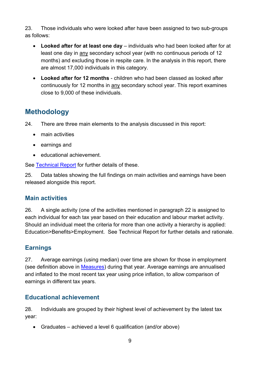23. Those individuals who were looked after have been assigned to two sub-groups as follows:

- **Looked after for at least one day**  individuals who had been looked after for at least one day in any secondary school year (with no continuous periods of 12 months) and excluding those in respite care. In the analysis in this report, there are almost 17,000 individuals in this category.
- **Looked after for 12 months**  children who had been classed as looked after continuously for 12 months in any secondary school year. This report examines close to 9,000 of these individuals.

#### <span id="page-8-0"></span>**Methodology**

24. There are three main elements to the analysis discussed in this report:

- main activities
- earnings and
- educational achievement.

See [Technical Report](https://assets.publishing.service.gov.uk/government/uploads/system/uploads/attachment_data/file/990023/Technical_Report_for_Education_and_Labour_Market_Pathways_of_Individuals__LEO.pdf) for further details of these.

25. Data tables showing the full findings on main activities and earnings have been released alongside this report.

#### <span id="page-8-1"></span>**Main activities**

26. A single activity (one of the activities mentioned in paragraph 22 is assigned to each individual for each tax year based on their education and labour market activity. Should an individual meet the criteria for more than one activity a hierarchy is applied: Education>Benefits>Employment. See Technical Report for further details and rationale.

#### <span id="page-8-2"></span>**Earnings**

27. Average earnings (using median) over time are shown for those in employment (see definition above in [Measures\)](#page-6-1) during that year. Average earnings are annualised and inflated to the most recent tax year using price inflation, to allow comparison of earnings in different tax years.

#### <span id="page-8-3"></span>**Educational achievement**

28. Individuals are grouped by their highest level of achievement by the latest tax year:

• Graduates – achieved a level 6 qualification (and/or above)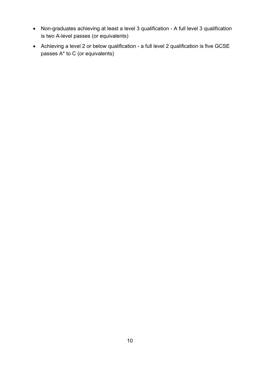- Non-graduates achieving at least a level 3 qualification A full level 3 qualification is two A-level passes (or equivalents)
- Achieving a level 2 or below qualification a full level 2 qualification is five GCSE passes A\* to C (or equivalents)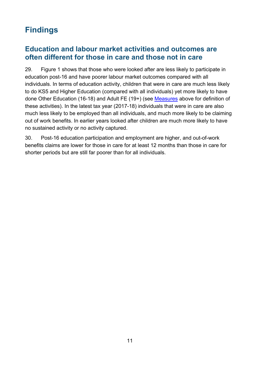## <span id="page-10-0"></span>**Findings**

#### <span id="page-10-1"></span>**Education and labour market activities and outcomes are often different for those in care and those not in care**

29. [Figure 1](#page-11-0) shows that those who were looked after are less likely to participate in education post-16 and have poorer labour market outcomes compared with all individuals. In terms of education activity, children that were in care are much less likely to do KS5 and Higher Education (compared with all individuals) yet more likely to have done Other Education (16-18) and Adult FE (19+) (see [Measures](#page-6-1) above for definition of these activities). In the latest tax year (2017-18) individuals that were in care are also much less likely to be employed than all individuals, and much more likely to be claiming out of work benefits. In earlier years looked after children are much more likely to have no sustained activity or no activity captured.

30. Post-16 education participation and employment are higher, and out-of-work benefits claims are lower for those in care for at least 12 months than those in care for shorter periods but are still far poorer than for all individuals.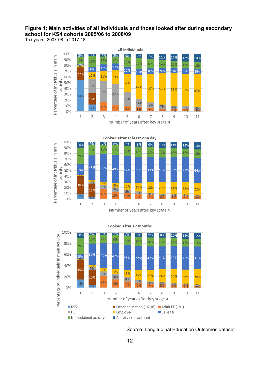#### <span id="page-11-0"></span>**Figure 1: Main activities of all individuals and those looked after during secondary school for KS4 cohorts 2005/06 to 2008/09**

Tax years: 2007-08 to 2017-18







#### Looked after 12 months

Source: Longitudinal Education Outcomes dataset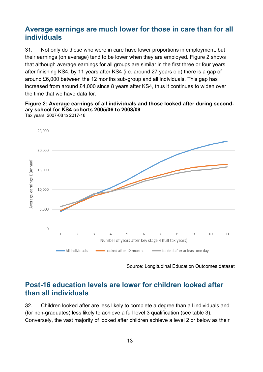#### <span id="page-12-0"></span>**Average earnings are much lower for those in care than for all individuals**

31. Not only do those who were in care have lower proportions in employment, but their earnings (on average) tend to be lower when they are employed. [Figure 2](#page-12-2) shows that although average earnings for all groups are similar in the first three or four years after finishing KS4, by 11 years after KS4 (i.e. around 27 years old) there is a gap of around £6,000 between the 12 months sub-group and all individuals. This gap has increased from around £4,000 since 8 years after KS4, thus it continues to widen over the time that we have data for.

#### <span id="page-12-2"></span>**Figure 2: Average earnings of all individuals and those looked after during secondary school for KS4 cohorts 2005/06 to 2008/09**



Tax years: 2007-08 to 2017-18

Source: Longitudinal Education Outcomes dataset

#### <span id="page-12-1"></span>**Post-16 education levels are lower for children looked after than all individuals**

32. Children looked after are less likely to complete a degree than all individuals and (for non-graduates) less likely to achieve a full level 3 qualification (see table 3). Conversely, the vast majority of looked after children achieve a level 2 or below as their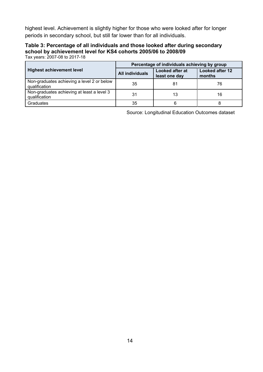highest level. Achievement is slightly higher for those who were looked after for longer periods in secondary school, but still far lower than for all individuals.

#### **Table 3: Percentage of all individuals and those looked after during secondary school by achievement level for KS4 cohorts 2005/06 to 2008/09**

Tax years: 2007-08 to 2017-18

|                                                             | Percentage of individuals achieving by group |                                         |                                  |
|-------------------------------------------------------------|----------------------------------------------|-----------------------------------------|----------------------------------|
| <b>Highest achievement level</b>                            | <b>All individuals</b>                       | <b>Looked after at</b><br>least one day | <b>Looked after 12</b><br>months |
| Non-graduates achieving a level 2 or below<br>qualification | 35                                           | 81                                      | 76                               |
| Non-graduates achieving at least a level 3<br>qualification | 31                                           | 13                                      | 16                               |
| Graduates                                                   | 35                                           | 6                                       |                                  |

Source: Longitudinal Education Outcomes dataset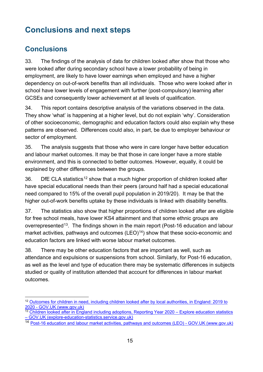## <span id="page-14-0"></span>**Conclusions and next steps**

#### <span id="page-14-1"></span>**Conclusions**

33. The findings of the analysis of data for children looked after show that those who were looked after during secondary school have a lower probability of being in employment, are likely to have lower earnings when employed and have a higher dependency on out-of-work benefits than all individuals. Those who were looked after in school have lower levels of engagement with further (post-compulsory) learning after GCSEs and consequently lower achievement at all levels of qualification.

34. This report contains descriptive analysis of the variations observed in the data. They show 'what' is happening at a higher level, but do not explain 'why'. Consideration of other socioeconomic, demographic and education factors could also explain why these patterns are observed. Differences could also, in part, be due to employer behaviour or sector of employment.

35. The analysis suggests that those who were in care longer have better education and labour market outcomes. It may be that those in care longer have a more stable environment, and this is connected to better outcomes. However, equally, it could be explained by other differences between the groups.

36. DfE CLA statistics<sup>[12](#page-14-2)</sup> show that a much higher proportion of children looked after have special educational needs than their peers (around half had a special educational need compared to 15% of the overall pupil population in 2019/20). It may be that the higher out-of-work benefits uptake by these individuals is linked with disability benefits.

37. The statistics also show that higher proportions of children looked after are eligible for free school meals, have lower KS4 attainment and that some ethnic groups are overrepresented<sup>[13](#page-14-3)</sup>. The findings shown in the main report (Post-16 education and labour market activities, pathways and outcomes  $(LEO)<sup>14</sup>$  show that these socio-economic and education factors are linked with worse labour market outcomes.

38. There may be other education factors that are important as well, such as attendance and expulsions or suspensions from school. Similarly, for Post-16 education, as well as the level and type of education there may be systematic differences in subjects studied or quality of institution attended that account for differences in labour market outcomes.

<span id="page-14-2"></span><sup>&</sup>lt;sup>12</sup> Outcomes for children in need, including children looked after by local authorities, in England: 2019 to [2020 - GOV.UK \(www.gov.uk\)](https://www.gov.uk/government/statistics/outcomes-for-children-in-need-including-children-looked-after-by-local-authorities-in-england-2019-to-2020)

<span id="page-14-3"></span><sup>&</sup>lt;sup>13</sup> Children looked after in England including adoptions, Reporting Year 2020 – Explore education statistics [– GOV.UK \(explore-education-statistics.service.gov.uk\)](https://explore-education-statistics.service.gov.uk/find-statistics/children-looked-after-in-england-including-adoptions/2020#dataBlock-da196229-008f-4552-ba4b-a9f36430b72a-charts)

<span id="page-14-4"></span><sup>14</sup> [Post-16 education and labour market activities, pathways and outcomes \(LEO\) - GOV.UK \(www.gov.uk\)](https://www.gov.uk/government/publications/post-16-education-and-labour-market-activities-pathways-and-outcomes-leo)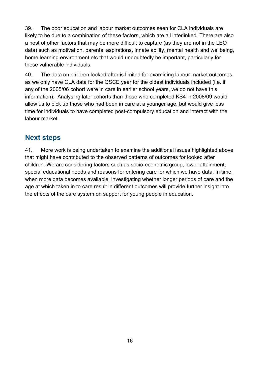39. The poor education and labour market outcomes seen for CLA individuals are likely to be due to a combination of these factors, which are all interlinked. There are also a host of other factors that may be more difficult to capture (as they are not in the LEO data) such as motivation, parental aspirations, innate ability, mental health and wellbeing, home learning environment etc that would undoubtedly be important, particularly for these vulnerable individuals.

40. The data on children looked after is limited for examining labour market outcomes, as we only have CLA data for the GSCE year for the oldest individuals included (i.e. if any of the 2005/06 cohort were in care in earlier school years, we do not have this information). Analysing later cohorts than those who completed KS4 in 2008/09 would allow us to pick up those who had been in care at a younger age, but would give less time for individuals to have completed post-compulsory education and interact with the labour market.

#### <span id="page-15-0"></span>**Next steps**

41. More work is being undertaken to examine the additional issues highlighted above that might have contributed to the observed patterns of outcomes for looked after children. We are considering factors such as socio-economic group, lower attainment, special educational needs and reasons for entering care for which we have data. In time, when more data becomes available, investigating whether longer periods of care and the age at which taken in to care result in different outcomes will provide further insight into the effects of the care system on support for young people in education.